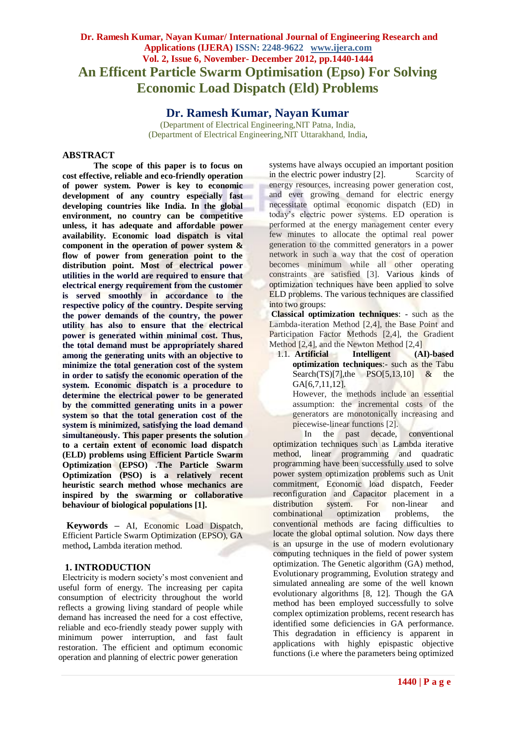## **Dr. Ramesh Kumar, Nayan Kumar/ International Journal of Engineering Research and Applications (IJERA) ISSN: 2248-9622 www.ijera.com Vol. 2, Issue 6, November- December 2012, pp.1440-1444 An Efficent Particle Swarm Optimisation (Epso) For Solving Economic Load Dispatch (Eld) Problems**

**Dr. Ramesh Kumar, Nayan Kumar**

(Department of Electrical Engineering,NIT Patna, India, (Department of Electrical Engineering,NIT Uttarakhand, India,

#### **ABSTRACT**

**The scope of this paper is to focus on cost effective, reliable and eco-friendly operation of power system. Power is key to economic development of any country especially fast developing countries like India. In the global environment, no country can be competitive unless, it has adequate and affordable power availability. Economic load dispatch is vital component in the operation of power system & flow of power from generation point to the distribution point. Most of electrical power utilities in the world are required to ensure that electrical energy requirement from the customer is served smoothly in accordance to the respective policy of the country. Despite serving the power demands of the country, the power utility has also to ensure that the electrical power is generated within minimal cost. Thus, the total demand must be appropriately shared among the generating units with an objective to minimize the total generation cost of the system in order to satisfy the economic operation of the system. Economic dispatch is a procedure to determine the electrical power to be generated by the committed generating units in a power system so that the total generation cost of the system is minimized, satisfying the load demand simultaneously. This paper presents the solution to a certain extent of economic load dispatch (ELD) problems using Efficient Particle Swarm Optimization (EPSO) .The Particle Swarm Optimization (PSO) is a relatively recent heuristic search method whose mechanics are inspired by the swarming or collaborative behaviour of biological populations [1].** 

 **Keywords –** AI, Economic Load Dispatch, Efficient Particle Swarm Optimization (EPSO), GA method**,** Lambda iteration method*.*

## **1. INTRODUCTION**

Electricity is modern society"s most convenient and useful form of energy. The increasing per capita consumption of electricity throughout the world reflects a growing living standard of people while demand has increased the need for a cost effective, reliable and eco-friendly steady power supply with minimum power interruption, and fast fault restoration. The efficient and optimum economic operation and planning of electric power generation

systems have always occupied an important position in the electric power industry [2]. Scarcity of energy resources, increasing power generation cost, and ever growing demand for electric energy necessitate optimal economic dispatch (ED) in today"s electric power systems. ED operation is performed at the energy management center every few minutes to allocate the optimal real power generation to the committed generators in a power network in such a way that the cost of operation becomes minimum while all other operating constraints are satisfied [3]. Various kinds of optimization techniques have been applied to solve ELD problems. The various techniques are classified into two groups:

**Classical optimization techniques**: - such as the Lambda-iteration Method [2,4], the Base Point and Participation Factor Methods [2,4], the Gradient Method [2,4], and the Newton Method [2,4]

1.1. **Artificial Intelligent (AI)-based optimization techniques**:- such as the Tabu Search(TS)[7],the PSO[5,13,10] & the GA[6,7,11,12].

However, the methods include an essential assumption: the incremental costs of the generators are monotonically increasing and piecewise-linear functions [2].

In the past decade, conventional optimization techniques such as Lambda iterative method, linear programming and quadratic programming have been successfully used to solve power system optimization problems such as Unit commitment, Economic load dispatch, Feeder reconfiguration and Capacitor placement in a distribution system. For non-linear and combinational optimization problems, the conventional methods are facing difficulties to locate the global optimal solution. Now days there is an upsurge in the use of modern evolutionary computing techniques in the field of power system optimization. The Genetic algorithm (GA) method, Evolutionary programming, Evolution strategy and simulated annealing are some of the well known evolutionary algorithms [8, 12]. Though the GA method has been employed successfully to solve complex optimization problems, recent research has identified some deficiencies in GA performance. This degradation in efficiency is apparent in applications with highly epispastic objective functions (i.e where the parameters being optimized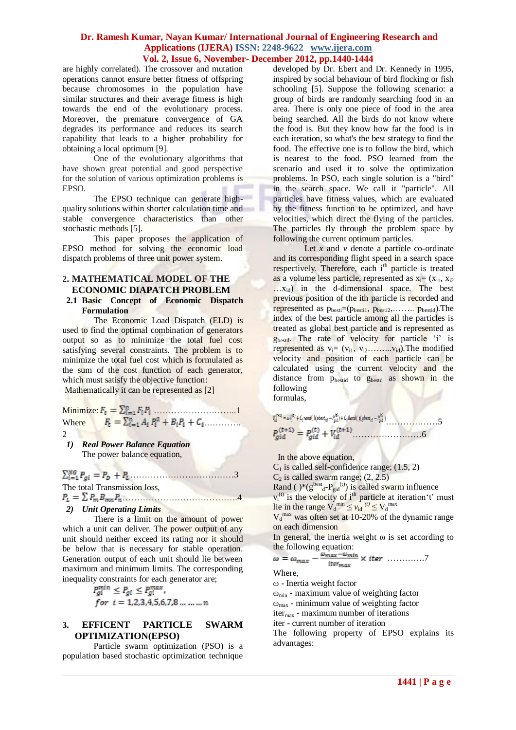are highly correlated). The crossover and mutation operations cannot ensure better fitness of offspring because chromosomes in the population have similar structures and their average fitness is high towards the end of the evolutionary process. Moreover, the premature convergence of GA degrades its performance and reduces its search capability that leads to a higher probability for obtaining a local optimum [9].

One of the evolutionary algorithms that have shown great potential and good perspective for the solution of various optimization problems is EPSO.

The EPSO technique can generate highquality solutions within shorter calculation time and stable convergence characteristics than other stochastic methods [5].

This paper proposes the application of EPSO method for solving the economic load dispatch problems of three unit power system.

# **2. MATHEMATICAL MODEL OF THE ECONOMIC DIAPATCH PROBLEM**

#### **2.1 Basic Concept of Economic Dispatch Formulation**

The Economic Load Dispatch (ELD) is used to find the optimal combination of generators output so as to minimize the total fuel cost satisfying several constraints. The problem is to minimize the total fuel cost which is formulated as the sum of the cost function of each generator, which must satisfy the objective function: Mathematically it can be represented as [2]

Minimize: ………………………..1 Where  $F_t = \sum_{i=1}^n A_i P_i^2 + B_i P_i + C_i$ 2

*1) Real Power Balance Equation* The power balance equation,

………………………………3 The total Transmission loss,

………………………………….4 *2) Unit Operating Limits*

There is a limit on the amount of power which a unit can deliver. The power output of any unit should neither exceed its rating nor it should be below that is necessary for stable operation. Generation output of each unit should lie between

maximum and minimum limits. The corresponding inequality constraints for each generator are; P.

$$
P_{gi}^{min} \le P_{gi} \le P_{gi}^{max},
$$
  
for  $i = 1,2,3,4,5,6,7,8...$  .......n

## **3. EFFICENT PARTICLE SWARM OPTIMIZATION(EPSO)**

Particle swarm optimization (PSO) is a population based stochastic optimization technique

developed by Dr. Ebert and Dr. Kennedy in 1995, inspired by social behaviour of bird flocking or fish schooling [5]. Suppose the following scenario: a group of birds are randomly searching food in an area. There is only one piece of food in the area being searched. All the birds do not know where the food is. But they know how far the food is in each iteration, so what's the best strategy to find the food. The effective one is to follow the bird, which is nearest to the food. PSO learned from the scenario and used it to solve the optimization problems. In PSO, each single solution is a "bird" in the search space. We call it "particle". All particles have fitness values, which are evaluated by the fitness function to be optimized, and have velocities, which direct the flying of the particles. The particles fly through the problem space by following the current optimum particles.

Let  $x$  and  $y$  denote a particle co-ordinate and its corresponding flight speed in a search space respectively. Therefore, each i<sup>th</sup> particle is treated as a volume less particle, represented as  $x_i = (x_{i1}, x_{i2})$  $\dots x_{id}$  in the d-dimensional space. The best previous position of the ith particle is recorded and represented as  $p_{besti} = (p_{besti1}, p_{besti2}, \ldots, p_{bestid})$ . The index of the best particle among all the particles is treated as global best particle and is represented as  $g_{bestd}$ . The rate of velocity for particle  $i$  is represented as  $v_i = (v_{i1}, v_{i2} \ldots \ldots \ldots v_{id})$ . The modified velocity and position of each particle can be calculated using the current velocity and the distance from p<sub>bestid</sub> to g<sub>bestd</sub> as shown in the following formulas,

………………5 ……………………6

In the above equation,

 $C_1$  is called self-confidence range; (1.5, 2)  $C_2$  is called swarm range;  $(2, 2.5)$ Rand ( )\* $(g^{best}_{d} - P_{gid}^{(t)})$  is called swarm influence  $v_i^{(t)}$  is the velocity of i<sup>th</sup> particle at iteration 't' must lie in the range  $V_d^{min} \le v_{id}^{(t)} \le V_d^{max}$ 

 $V_d$ <sup>max</sup> was often set at 10-20% of the dynamic range on each dimension

In general, the inertia weight  $\omega$  is set according to the following equation:

$$
\omega = \omega_{max} - \frac{\omega_{max} - \omega_{min}}{iter_{max}} \times iter \quad .........7
$$

Where,

ω - Inertia weight factor

 $\omega_{\text{min}}$  - maximum value of weighting factor

 $\omega_{\text{max}}$  - minimum value of weighting factor

itermax - maximum number of iterations

iter - current number of iteration

The following property of EPSO explains its advantages: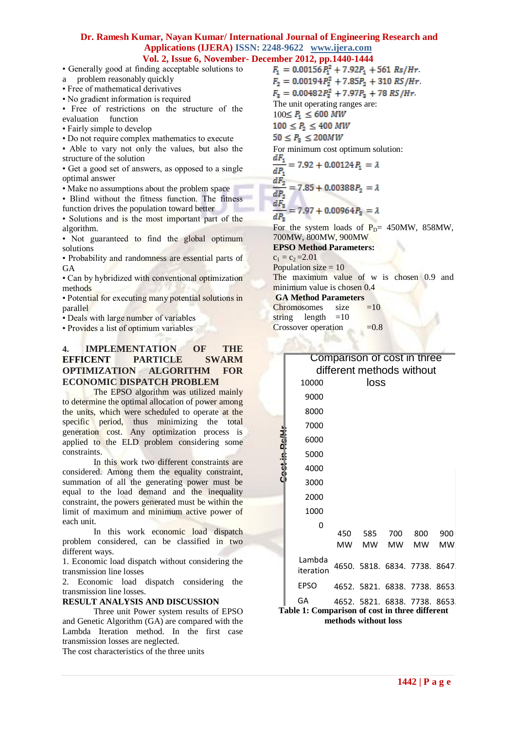• Generally good at finding acceptable solutions to

a problem reasonably quickly

• Free of mathematical derivatives

• No gradient information is required

- Free of restrictions on the structure of the evaluation function
- Fairly simple to develop
- Do not require complex mathematics to execute

• Able to vary not only the values, but also the structure of the solution

• Get a good set of answers, as opposed to a single optimal answer

• Make no assumptions about the problem space

• Blind without the fitness function. The fitness function drives the population toward better

• Solutions and is the most important part of the algorithm.

• Not guaranteed to find the global optimum solutions

• Probability and randomness are essential parts of **GA** 

• Can by hybridized with conventional optimization methods

• Potential for executing many potential solutions in parallel

• Deals with large number of variables

• Provides a list of optimum variables

## **4. IMPLEMENTATION OF THE EFFICENT PARTICLE SWARM OPTIMIZATION ALGORITHM FOR ECONOMIC DISPATCH PROBLEM**

The EPSO algorithm was utilized mainly to determine the optimal allocation of power among the units, which were scheduled to operate at the specific period, thus minimizing the total generation cost. Any optimization process is applied to the ELD problem considering some constraints.

In this work two different constraints are considered. Among them the equality constraint, summation of all the generating power must be equal to the load demand and the inequality constraint, the powers generated must be within the limit of maximum and minimum active power of each unit.

In this work economic load dispatch problem considered, can be classified in two different ways.

1. Economic load dispatch without considering the transmission line losses

2. Economic load dispatch considering the transmission line losses.

#### **RESULT ANALYSIS AND DISCUSSION**

Three unit Power system results of EPSO and Genetic Algorithm (GA) are compared with the Lambda Iteration method. In the first case transmission losses are neglected.

The cost characteristics of the three units

 $F_1 = 0.00156 P_1^2 + 7.92 P_1 + 561 Rs/Hr$  $F_2 = 0.00194P_2^2 + 7.85P_2 + 310RS/Hr$  $F_2 = 0.00482P_2^2 + 7.97P_2 + 78RS/Hr$ . The unit operating ranges are:  $100 \le P_1 \le 600 \; MW$  $100 \le P_2 \le 400 \, MW$  $50 \le P_{2} \le 200MW$ For minimum cost optimum solution:  $dF_1$  $= 7.92 + 0.00124 P_1 = \lambda$  $dP_1$  $dF_2$  $= 7.85 + 0.00388P_2 = \lambda$  $dP_2$  $dF_3$  $= 7.97 + 0.00964 P_3 = \lambda$  $dP<sub>2</sub>$ For the system loads of  $P_D$ = 450MW, 858MW, 700MW, 800MW, 900MW **EPSO Method Parameters:**  $c_1 = c_2 = 2.01$ Population size  $= 10$ The maximum value of w is chosen 0.9 and minimum value is chosen 0.4 **GA Method Parameters**

 $Chromosomes$  size  $=10$ string length  $=10$ Crossover operation  $=0.8$ 

|                                                                        | Comparison of cost in three<br>different methods without |      |                              |           |     |           |
|------------------------------------------------------------------------|----------------------------------------------------------|------|------------------------------|-----------|-----|-----------|
|                                                                        | 10000                                                    |      | loss                         |           |     |           |
|                                                                        | 9000                                                     |      |                              |           |     |           |
|                                                                        | 8000                                                     |      |                              |           |     |           |
|                                                                        | 7000                                                     |      |                              |           |     |           |
| Coct in Bollis                                                         | 6000                                                     |      |                              |           |     |           |
|                                                                        | 5000                                                     |      |                              |           |     |           |
|                                                                        | 4000                                                     |      |                              |           |     |           |
|                                                                        | 3000                                                     |      |                              |           |     |           |
|                                                                        | 2000                                                     |      |                              |           |     |           |
|                                                                        | 1000                                                     |      |                              |           |     |           |
|                                                                        | 0                                                        | 450  | 585                          | 700       | 800 | 900       |
|                                                                        |                                                          | MW - | MW                           | <b>MW</b> | MW  | <b>MW</b> |
|                                                                        | Lambda<br>iteration                                      |      | 4650, 5818, 6834, 7738, 8647 |           |     |           |
|                                                                        | <b>EPSO</b>                                              |      | 4652, 5821, 6838, 7738, 8653 |           |     |           |
|                                                                        | GA                                                       |      | 4652, 5821, 6838, 7738, 8653 |           |     |           |
| Table 1: Comparison of cost in three different<br>methods without loss |                                                          |      |                              |           |     |           |
|                                                                        |                                                          |      |                              |           |     |           |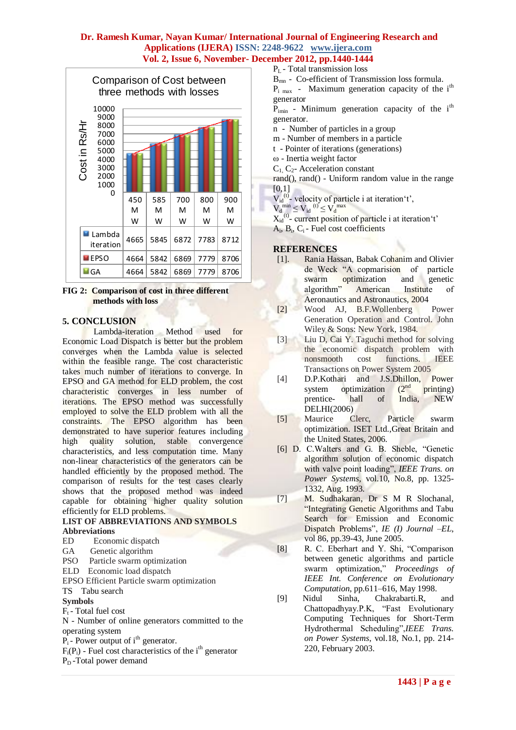

**FIG 2: Comparison of cost in three different methods with loss**

#### **5. CONCLUSION**

Lambda-iteration Method used for Economic Load Dispatch is better but the problem converges when the Lambda value is selected within the feasible range. The cost characteristic takes much number of iterations to converge. In EPSO and GA method for ELD problem, the cost characteristic converges in less number of iterations. The EPSO method was successfully employed to solve the ELD problem with all the constraints. The EPSO algorithm has been demonstrated to have superior features including high quality solution, stable convergence characteristics, and less computation time. Many non-linear characteristics of the generators can be handled efficiently by the proposed method. The comparison of results for the test cases clearly shows that the proposed method was indeed capable for obtaining higher quality solution efficiently for ELD problems.

#### **LIST OF ABBREVIATIONS AND SYMBOLS Abbreviations**

- ED Economic dispatch
- GA Genetic algorithm
- PSO Particle swarm optimization
- ELD Economic load dispatch
- EPSO Efficient Particle swarm optimization
- TS Tabu search

### **Symbols**

 $F_t$  - Total fuel cost

N - Number of online generators committed to the operating system

 $P_i$ - Power output of i<sup>th</sup> generator.

 $F_i(P_i)$  - Fuel cost characteristics of the i<sup>th</sup> generator

 $P_D$ -Total power demand

P<sub>L</sub> - Total transmission loss

- Bmn Co-efficient of Transmission loss formula.
- $P_{i \text{max}}$  Maximum generation capacity of the i<sup>th</sup> generator

P<sub>imin</sub> - Minimum generation capacity of the i<sup>th</sup> generator.

- n Number of particles in a group
- m Number of members in a particle
- t Pointer of iterations (generations)
- ω *-* Inertia weight factor
- $C_1$ ,  $C_2$  Acceleration constant

rand(), rand() - Uniform random value in the range  $[0,1]$ 

 $V_{id}^{(t)}$ - velocity of particle i at iteration 't',

 $V_d^{min} \leq V_{id}^{(t)} \leq V_d^{max}$ 

 $X_{id}^{(t)}$ - current position of particle i at iteration 't'

A<sub>i</sub>, B<sub>i</sub>, C<sub>i</sub> - Fuel cost coefficients

## **REFERENCES**

- [1]. Rania Hassan, Babak Cohanim and Olivier de Weck "A copmarision of particle swarm optimization and genetic algorithm" American Institute of Aeronautics and Astronautics, 2004
- [2] Wood AJ, B.F.Wollenberg Power Generation Operation and Control. John Wiley & Sons: New York, 1984.
- [3] Liu D, Cai Y. Taguchi method for solving the economic dispatch problem with nonsmooth cost functions. IEEE Transactions on Power System 2005
- [4] D.P.Kothari and J.S.Dhillon, Power<br>system optimization  $(2<sup>nd</sup>$  printing) system optimization  $(2<sup>nd</sup>$  printing) prentice- hall of India, NEW DELHI(2006)
- [5] Maurice Clerc, Particle swarm optimization. ISET Ltd.,Great Britain and the United States, 2006.
- [6] D. C.Walters and G. B. Sheble, "Genetic algorithm solution of economic dispatch with valve point loading", *IEEE Trans. on Power Systems*, vol.10, No.8, pp. 1325- 1332, Aug. 1993.
- [7] M. Sudhakaran, Dr S M R Slochanal, "Integrating Genetic Algorithms and Tabu Search for Emission and Economic Dispatch Problems", *IE (I) Journal –EL*, vol 86, pp.39-43, June 2005.
- [8] R. C. Eberhart and Y. Shi, "Comparison between genetic algorithms and particle swarm optimization," *Proceedings of IEEE Int. Conference on Evolutionary Computation*, pp.611–616, May 1998.
- [9] Nidul Sinha, Chakrabarti.R, and Chattopadhyay.P.K, "Fast Evolutionary Computing Techniques for Short-Term Hydrothermal Scheduling",*IEEE Trans. on Power Systems*, vol.18, No.1, pp. 214- 220, February 2003.